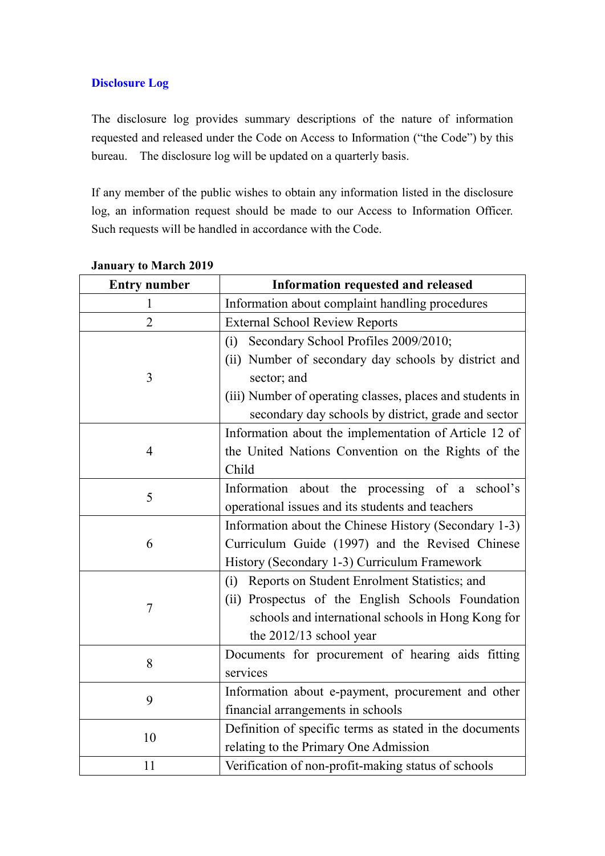#### **Disclosure Log**

The disclosure log provides summary descriptions of the nature of information requested and released under the Code on Access to Information ("the Code") by this bureau. The disclosure log will be updated on a quarterly basis.

If any member of the public wishes to obtain any information listed in the disclosure log, an information request should be made to our Access to Information Officer. Such requests will be handled in accordance with the Code.

| <b>Entry number</b> | Information requested and released                        |
|---------------------|-----------------------------------------------------------|
| 1                   | Information about complaint handling procedures           |
| $\overline{2}$      | <b>External School Review Reports</b>                     |
|                     | Secondary School Profiles 2009/2010;<br>(i)               |
|                     | (ii) Number of secondary day schools by district and      |
| 3                   | sector; and                                               |
|                     | (iii) Number of operating classes, places and students in |
|                     | secondary day schools by district, grade and sector       |
|                     | Information about the implementation of Article 12 of     |
| 4                   | the United Nations Convention on the Rights of the        |
|                     | Child                                                     |
| 5                   | Information about the processing of a school's            |
|                     | operational issues and its students and teachers          |
|                     | Information about the Chinese History (Secondary 1-3)     |
| 6                   | Curriculum Guide (1997) and the Revised Chinese           |
|                     | History (Secondary 1-3) Curriculum Framework              |
|                     | Reports on Student Enrolment Statistics; and<br>(i)       |
| 7                   | (ii) Prospectus of the English Schools Foundation         |
|                     | schools and international schools in Hong Kong for        |
|                     | the $2012/13$ school year                                 |
| 8                   | Documents for procurement of hearing aids fitting         |
|                     | services                                                  |
| 9                   | Information about e-payment, procurement and other        |
|                     | financial arrangements in schools                         |
| 10                  | Definition of specific terms as stated in the documents   |
|                     | relating to the Primary One Admission                     |
| 11                  | Verification of non-profit-making status of schools       |

#### **January to March 2019**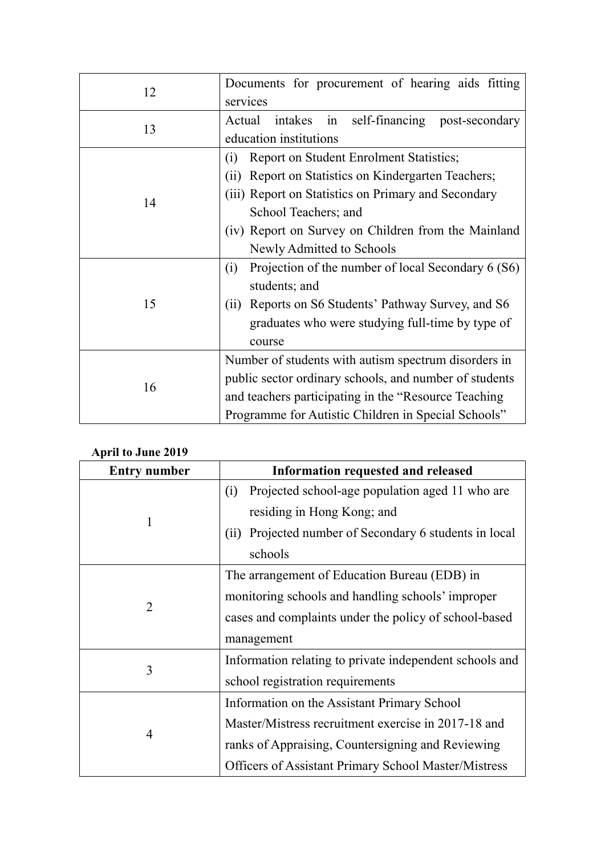| 12 | Documents for procurement of hearing aids fitting<br>services                                                                                                                                                                                                               |
|----|-----------------------------------------------------------------------------------------------------------------------------------------------------------------------------------------------------------------------------------------------------------------------------|
| 13 | self-financing post-secondary<br>Actual<br>intakes in<br>education institutions                                                                                                                                                                                             |
| 14 | Report on Student Enrolment Statistics;<br>(i)<br>Report on Statistics on Kindergarten Teachers;<br>(ii)<br>(iii) Report on Statistics on Primary and Secondary<br>School Teachers; and<br>(iv) Report on Survey on Children from the Mainland<br>Newly Admitted to Schools |
| 15 | Projection of the number of local Secondary 6 (S6)<br>(i)<br>students; and<br>Reports on S6 Students' Pathway Survey, and S6<br>(i)<br>graduates who were studying full-time by type of<br>course                                                                           |
| 16 | Number of students with autism spectrum disorders in<br>public sector ordinary schools, and number of students<br>and teachers participating in the "Resource Teaching"<br>Programme for Autistic Children in Special Schools"                                              |

### **April to June 2019**

| <b>Entry number</b> | Information requested and released                          |
|---------------------|-------------------------------------------------------------|
|                     | Projected school-age population aged 11 who are<br>(i)      |
|                     | residing in Hong Kong; and                                  |
|                     | Projected number of Secondary 6 students in local<br>(ii)   |
|                     | schools                                                     |
|                     | The arrangement of Education Bureau (EDB) in                |
|                     | monitoring schools and handling schools' improper           |
| $\overline{2}$      | cases and complaints under the policy of school-based       |
|                     | management                                                  |
| 3                   | Information relating to private independent schools and     |
|                     | school registration requirements                            |
| $\overline{4}$      | Information on the Assistant Primary School                 |
|                     | Master/Mistress recruitment exercise in 2017-18 and         |
|                     | ranks of Appraising, Countersigning and Reviewing           |
|                     | <b>Officers of Assistant Primary School Master/Mistress</b> |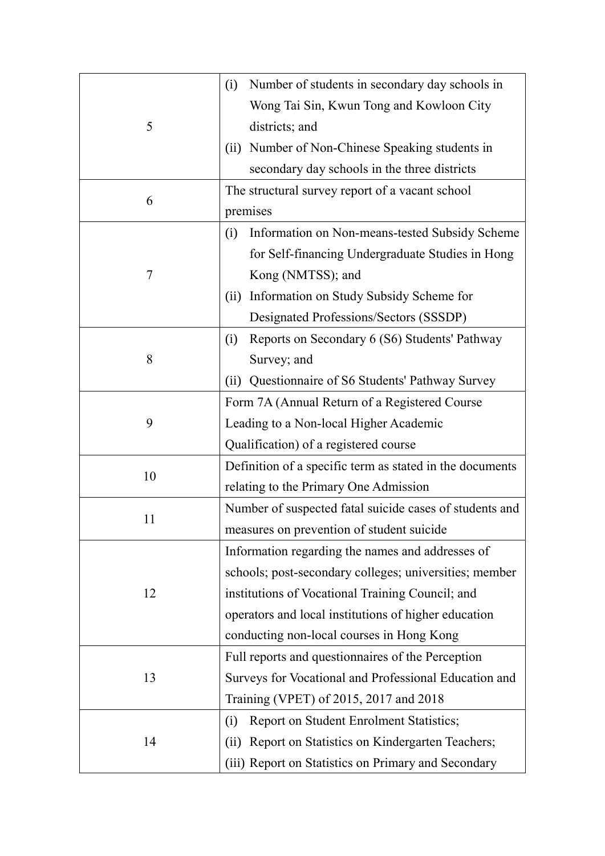|    | Number of students in secondary day schools in<br>(i)    |
|----|----------------------------------------------------------|
|    | Wong Tai Sin, Kwun Tong and Kowloon City                 |
| 5  | districts; and                                           |
|    | Number of Non-Chinese Speaking students in<br>(ii)       |
|    | secondary day schools in the three districts             |
|    | The structural survey report of a vacant school          |
| 6  | premises                                                 |
|    | Information on Non-means-tested Subsidy Scheme<br>(i)    |
|    | for Self-financing Undergraduate Studies in Hong         |
| 7  | Kong (NMTSS); and                                        |
|    | Information on Study Subsidy Scheme for<br>(ii)          |
|    | Designated Professions/Sectors (SSSDP)                   |
|    | Reports on Secondary 6 (S6) Students' Pathway<br>(i)     |
| 8  | Survey; and                                              |
|    | Questionnaire of S6 Students' Pathway Survey<br>(ii)     |
| 9  | Form 7A (Annual Return of a Registered Course            |
|    | Leading to a Non-local Higher Academic                   |
|    | Qualification) of a registered course                    |
| 10 | Definition of a specific term as stated in the documents |
|    | relating to the Primary One Admission                    |
|    | Number of suspected fatal suicide cases of students and  |
| 11 | measures on prevention of student suicide                |
| 12 | Information regarding the names and addresses of         |
|    | schools; post-secondary colleges; universities; member   |
|    | institutions of Vocational Training Council; and         |
|    | operators and local institutions of higher education     |
|    | conducting non-local courses in Hong Kong                |
| 13 | Full reports and questionnaires of the Perception        |
|    | Surveys for Vocational and Professional Education and    |
|    | Training (VPET) of 2015, 2017 and 2018                   |
|    | Report on Student Enrolment Statistics;<br>(i)           |
| 14 | Report on Statistics on Kindergarten Teachers;<br>(ii)   |
|    | (iii) Report on Statistics on Primary and Secondary      |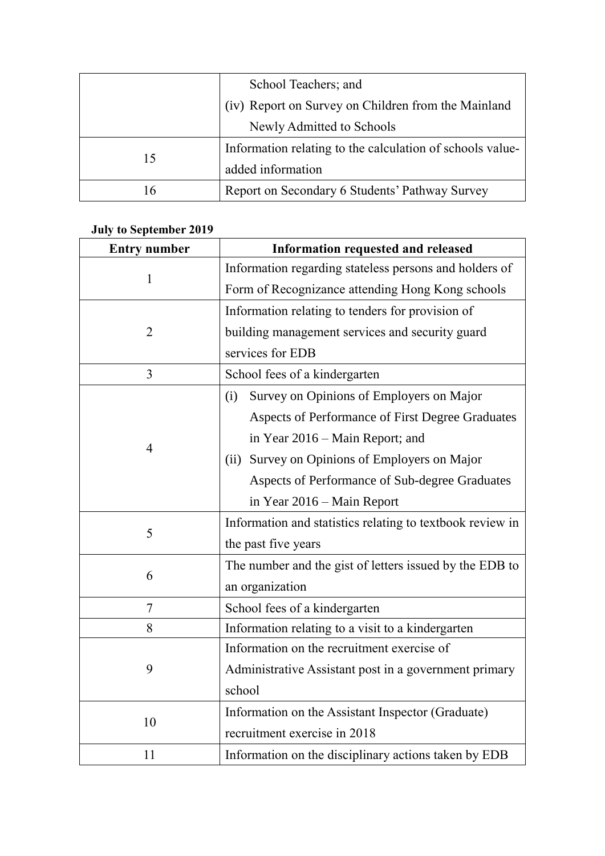|    | School Teachers; and                                      |
|----|-----------------------------------------------------------|
|    | (iv) Report on Survey on Children from the Mainland       |
|    | Newly Admitted to Schools                                 |
| 15 | Information relating to the calculation of schools value- |
|    | added information                                         |
| 16 | Report on Secondary 6 Students' Pathway Survey            |

# **July to September 2019**

| <b>Entry number</b> | <b>Information requested and released</b>                 |
|---------------------|-----------------------------------------------------------|
| $\mathbf{1}$        | Information regarding stateless persons and holders of    |
|                     | Form of Recognizance attending Hong Kong schools          |
|                     | Information relating to tenders for provision of          |
| $\overline{2}$      | building management services and security guard           |
|                     | services for EDB                                          |
| 3                   | School fees of a kindergarten                             |
|                     | Survey on Opinions of Employers on Major<br>(i)           |
|                     | Aspects of Performance of First Degree Graduates          |
|                     | in Year 2016 – Main Report; and                           |
| 4                   | Survey on Opinions of Employers on Major<br>(ii)          |
|                     | Aspects of Performance of Sub-degree Graduates            |
|                     | in Year 2016 - Main Report                                |
| 5                   | Information and statistics relating to textbook review in |
|                     | the past five years                                       |
| 6                   | The number and the gist of letters issued by the EDB to   |
|                     | an organization                                           |
| $\overline{7}$      | School fees of a kindergarten                             |
| 8                   | Information relating to a visit to a kindergarten         |
|                     | Information on the recruitment exercise of                |
| 9                   | Administrative Assistant post in a government primary     |
|                     | school                                                    |
| 10                  | Information on the Assistant Inspector (Graduate)         |
|                     | recruitment exercise in 2018                              |
| 11                  | Information on the disciplinary actions taken by EDB      |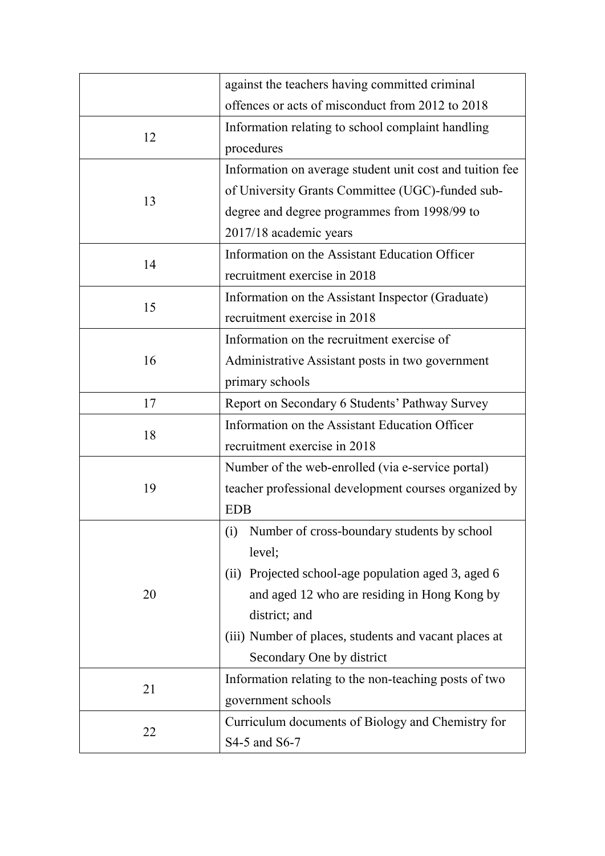|    | against the teachers having committed criminal           |
|----|----------------------------------------------------------|
|    | offences or acts of misconduct from 2012 to 2018         |
| 12 | Information relating to school complaint handling        |
|    | procedures                                               |
|    | Information on average student unit cost and tuition fee |
|    | of University Grants Committee (UGC)-funded sub-         |
| 13 | degree and degree programmes from 1998/99 to             |
|    | 2017/18 academic years                                   |
|    | Information on the Assistant Education Officer           |
| 14 | recruitment exercise in 2018                             |
|    | Information on the Assistant Inspector (Graduate)        |
| 15 | recruitment exercise in 2018                             |
|    | Information on the recruitment exercise of               |
| 16 | Administrative Assistant posts in two government         |
|    | primary schools                                          |
| 17 | Report on Secondary 6 Students' Pathway Survey           |
| 18 | Information on the Assistant Education Officer           |
|    | recruitment exercise in 2018                             |
|    | Number of the web-enrolled (via e-service portal)        |
| 19 | teacher professional development courses organized by    |
|    | <b>EDB</b>                                               |
| 20 | Number of cross-boundary students by school<br>(i)       |
|    | level;                                                   |
|    | (ii) Projected school-age population aged 3, aged 6      |
|    | and aged 12 who are residing in Hong Kong by             |
|    | district; and                                            |
|    | (iii) Number of places, students and vacant places at    |
|    | Secondary One by district                                |
| 21 | Information relating to the non-teaching posts of two    |
|    | government schools                                       |
|    | Curriculum documents of Biology and Chemistry for        |
| 22 | S4-5 and S6-7                                            |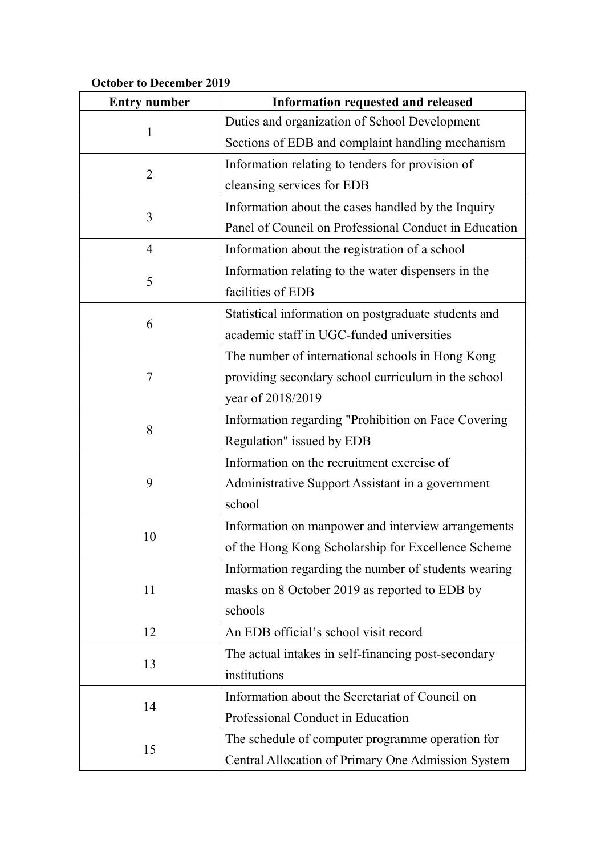## **October to December 2019**

| <b>Entry number</b> | Information requested and released                    |
|---------------------|-------------------------------------------------------|
| $\mathbf{1}$        | Duties and organization of School Development         |
|                     | Sections of EDB and complaint handling mechanism      |
| $\overline{2}$      | Information relating to tenders for provision of      |
|                     | cleansing services for EDB                            |
|                     | Information about the cases handled by the Inquiry    |
| 3                   | Panel of Council on Professional Conduct in Education |
| $\overline{4}$      | Information about the registration of a school        |
|                     | Information relating to the water dispensers in the   |
| 5                   | facilities of EDB                                     |
|                     | Statistical information on postgraduate students and  |
| 6                   | academic staff in UGC-funded universities             |
|                     | The number of international schools in Hong Kong      |
| 7                   | providing secondary school curriculum in the school   |
|                     | year of 2018/2019                                     |
|                     | Information regarding "Prohibition on Face Covering   |
| 8                   | Regulation" issued by EDB                             |
|                     | Information on the recruitment exercise of            |
| 9                   | Administrative Support Assistant in a government      |
|                     | school                                                |
| 10                  | Information on manpower and interview arrangements    |
|                     | of the Hong Kong Scholarship for Excellence Scheme    |
| 11                  | Information regarding the number of students wearing  |
|                     | masks on 8 October 2019 as reported to EDB by         |
|                     | schools                                               |
| 12                  | An EDB official's school visit record                 |
| 13                  | The actual intakes in self-financing post-secondary   |
|                     | institutions                                          |
| 14                  | Information about the Secretariat of Council on       |
|                     | Professional Conduct in Education                     |
|                     | The schedule of computer programme operation for      |
| 15                  | Central Allocation of Primary One Admission System    |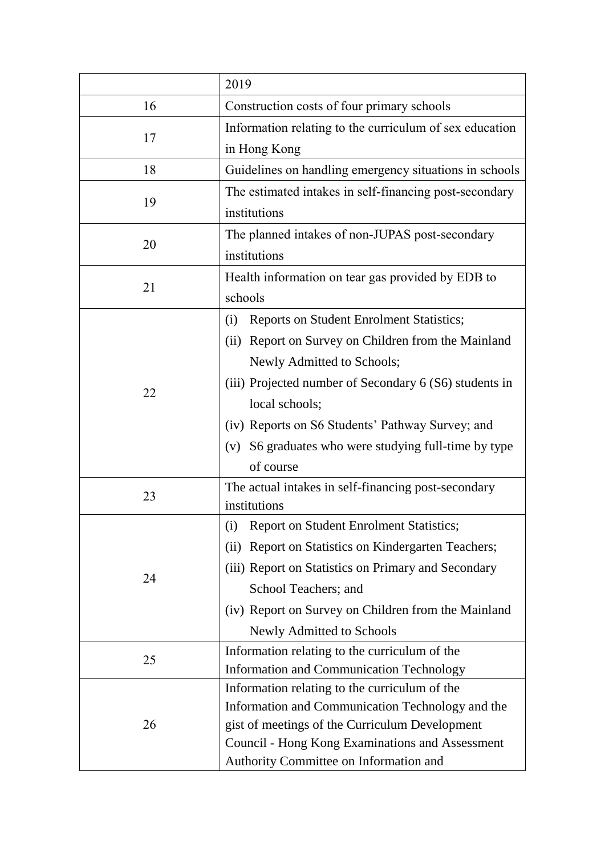| Construction costs of four primary schools<br>16<br>Information relating to the curriculum of sex education<br>17<br>in Hong Kong<br>18<br>Guidelines on handling emergency situations in schools<br>The estimated intakes in self-financing post-secondary<br>19<br>institutions<br>The planned intakes of non-JUPAS post-secondary<br>20<br>institutions<br>Health information on tear gas provided by EDB to<br>21<br>schools<br><b>Reports on Student Enrolment Statistics;</b><br>(i)<br>(ii) Report on Survey on Children from the Mainland<br>Newly Admitted to Schools;<br>(iii) Projected number of Secondary 6 (S6) students in<br>22<br>local schools;<br>(iv) Reports on S6 Students' Pathway Survey; and<br>S6 graduates who were studying full-time by type<br>(V)<br>of course |    | 2019                                                |
|-----------------------------------------------------------------------------------------------------------------------------------------------------------------------------------------------------------------------------------------------------------------------------------------------------------------------------------------------------------------------------------------------------------------------------------------------------------------------------------------------------------------------------------------------------------------------------------------------------------------------------------------------------------------------------------------------------------------------------------------------------------------------------------------------|----|-----------------------------------------------------|
|                                                                                                                                                                                                                                                                                                                                                                                                                                                                                                                                                                                                                                                                                                                                                                                               |    |                                                     |
|                                                                                                                                                                                                                                                                                                                                                                                                                                                                                                                                                                                                                                                                                                                                                                                               |    |                                                     |
|                                                                                                                                                                                                                                                                                                                                                                                                                                                                                                                                                                                                                                                                                                                                                                                               |    |                                                     |
|                                                                                                                                                                                                                                                                                                                                                                                                                                                                                                                                                                                                                                                                                                                                                                                               |    |                                                     |
|                                                                                                                                                                                                                                                                                                                                                                                                                                                                                                                                                                                                                                                                                                                                                                                               |    |                                                     |
|                                                                                                                                                                                                                                                                                                                                                                                                                                                                                                                                                                                                                                                                                                                                                                                               |    |                                                     |
|                                                                                                                                                                                                                                                                                                                                                                                                                                                                                                                                                                                                                                                                                                                                                                                               |    |                                                     |
|                                                                                                                                                                                                                                                                                                                                                                                                                                                                                                                                                                                                                                                                                                                                                                                               |    |                                                     |
|                                                                                                                                                                                                                                                                                                                                                                                                                                                                                                                                                                                                                                                                                                                                                                                               |    |                                                     |
|                                                                                                                                                                                                                                                                                                                                                                                                                                                                                                                                                                                                                                                                                                                                                                                               |    |                                                     |
|                                                                                                                                                                                                                                                                                                                                                                                                                                                                                                                                                                                                                                                                                                                                                                                               |    |                                                     |
|                                                                                                                                                                                                                                                                                                                                                                                                                                                                                                                                                                                                                                                                                                                                                                                               |    |                                                     |
|                                                                                                                                                                                                                                                                                                                                                                                                                                                                                                                                                                                                                                                                                                                                                                                               |    |                                                     |
|                                                                                                                                                                                                                                                                                                                                                                                                                                                                                                                                                                                                                                                                                                                                                                                               |    |                                                     |
|                                                                                                                                                                                                                                                                                                                                                                                                                                                                                                                                                                                                                                                                                                                                                                                               |    |                                                     |
|                                                                                                                                                                                                                                                                                                                                                                                                                                                                                                                                                                                                                                                                                                                                                                                               |    |                                                     |
|                                                                                                                                                                                                                                                                                                                                                                                                                                                                                                                                                                                                                                                                                                                                                                                               |    |                                                     |
|                                                                                                                                                                                                                                                                                                                                                                                                                                                                                                                                                                                                                                                                                                                                                                                               |    |                                                     |
|                                                                                                                                                                                                                                                                                                                                                                                                                                                                                                                                                                                                                                                                                                                                                                                               | 23 | The actual intakes in self-financing post-secondary |
| institutions                                                                                                                                                                                                                                                                                                                                                                                                                                                                                                                                                                                                                                                                                                                                                                                  |    |                                                     |
| (i) Report on Student Enrolment Statistics;                                                                                                                                                                                                                                                                                                                                                                                                                                                                                                                                                                                                                                                                                                                                                   | 24 |                                                     |
| (ii) Report on Statistics on Kindergarten Teachers;                                                                                                                                                                                                                                                                                                                                                                                                                                                                                                                                                                                                                                                                                                                                           |    |                                                     |
| (iii) Report on Statistics on Primary and Secondary                                                                                                                                                                                                                                                                                                                                                                                                                                                                                                                                                                                                                                                                                                                                           |    |                                                     |
| School Teachers; and                                                                                                                                                                                                                                                                                                                                                                                                                                                                                                                                                                                                                                                                                                                                                                          |    |                                                     |
| (iv) Report on Survey on Children from the Mainland                                                                                                                                                                                                                                                                                                                                                                                                                                                                                                                                                                                                                                                                                                                                           |    |                                                     |
| Newly Admitted to Schools                                                                                                                                                                                                                                                                                                                                                                                                                                                                                                                                                                                                                                                                                                                                                                     |    |                                                     |
| Information relating to the curriculum of the                                                                                                                                                                                                                                                                                                                                                                                                                                                                                                                                                                                                                                                                                                                                                 | 25 |                                                     |
| Information and Communication Technology                                                                                                                                                                                                                                                                                                                                                                                                                                                                                                                                                                                                                                                                                                                                                      |    |                                                     |
| Information relating to the curriculum of the                                                                                                                                                                                                                                                                                                                                                                                                                                                                                                                                                                                                                                                                                                                                                 | 26 |                                                     |
| Information and Communication Technology and the                                                                                                                                                                                                                                                                                                                                                                                                                                                                                                                                                                                                                                                                                                                                              |    |                                                     |
| gist of meetings of the Curriculum Development                                                                                                                                                                                                                                                                                                                                                                                                                                                                                                                                                                                                                                                                                                                                                |    |                                                     |
| Council - Hong Kong Examinations and Assessment<br>Authority Committee on Information and                                                                                                                                                                                                                                                                                                                                                                                                                                                                                                                                                                                                                                                                                                     |    |                                                     |